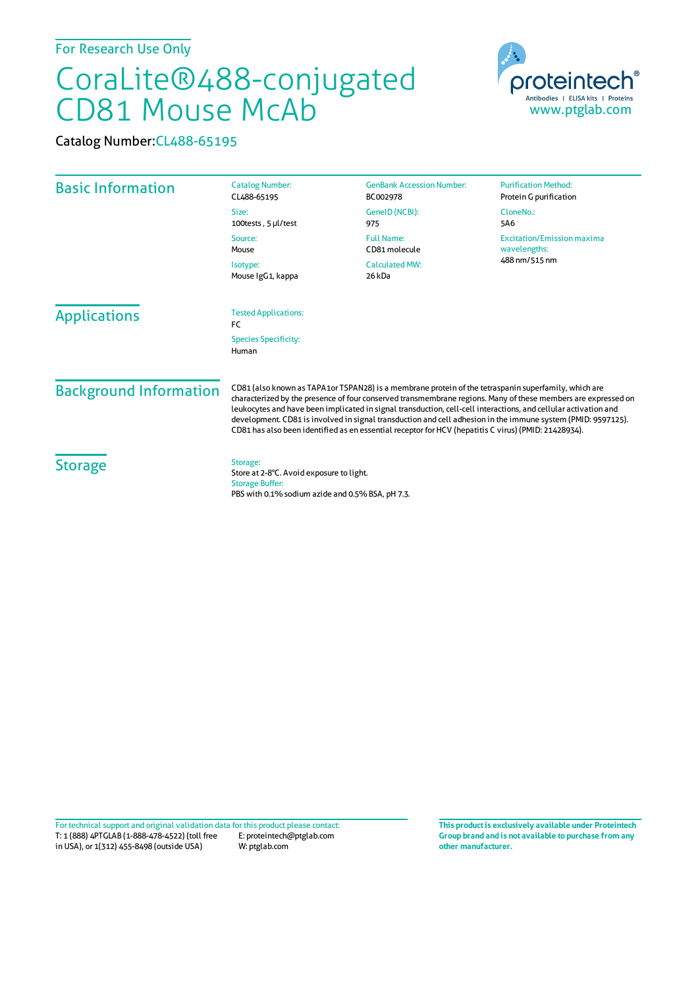For Research Use Only

## CoraLite®488-conjugated CD81 Mouse McAb

Catalog Number:CL488-65195



| <b>Basic Information</b>      | <b>Catalog Number:</b><br>CL488-65195                                                                                                                                                                                                                                                                                                                                                                                                                                                                                                                            | <b>GenBank Accession Number:</b><br>BC002978      | <b>Purification Method:</b><br>Protein G purification |
|-------------------------------|------------------------------------------------------------------------------------------------------------------------------------------------------------------------------------------------------------------------------------------------------------------------------------------------------------------------------------------------------------------------------------------------------------------------------------------------------------------------------------------------------------------------------------------------------------------|---------------------------------------------------|-------------------------------------------------------|
|                               | Size:<br>100tests, 5 µl/test                                                                                                                                                                                                                                                                                                                                                                                                                                                                                                                                     | GeneID (NCBI):<br>975                             | CloneNo.:<br>5A6                                      |
|                               | <b>Full Name:</b><br>Source:<br>CD81 molecule<br>Mouse<br><b>Calculated MW:</b><br>Isotype:<br>Mouse IgG1, kappa<br>26 kDa                                                                                                                                                                                                                                                                                                                                                                                                                                       | <b>Excitation/Emission maxima</b><br>wavelengths: |                                                       |
|                               |                                                                                                                                                                                                                                                                                                                                                                                                                                                                                                                                                                  |                                                   | 488 nm/515 nm                                         |
| <b>Applications</b>           | <b>Tested Applications:</b><br>FC.<br><b>Species Specificity:</b><br>Human                                                                                                                                                                                                                                                                                                                                                                                                                                                                                       |                                                   |                                                       |
| <b>Background Information</b> | CD81 (also known as TAPA1or TSPAN28) is a membrane protein of the tetraspanin superfamily, which are<br>characterized by the presence of four conserved transmembrane regions. Many of these members are expressed on<br>leukocytes and have been implicated in signal transduction, cell-cell interactions, and cellular activation and<br>development. CD81 is involved in signal transduction and cell adhesion in the immune system (PMID: 9597125).<br>CD81 has also been identified as en essential receptor for HCV (hepatitis C virus) (PMID: 21428934). |                                                   |                                                       |
| <b>Storage</b>                | Storage:<br>Store at 2-8°C. Avoid exposure to light.<br><b>Storage Buffer:</b><br>PBS with 0.1% sodium azide and 0.5% BSA, pH 7.3.                                                                                                                                                                                                                                                                                                                                                                                                                               |                                                   |                                                       |

T: 1 (888) 4PTGLAB (1-888-478-4522) (toll free in USA), or 1(312) 455-8498 (outside USA) E: proteintech@ptglab.com W: ptglab.com Fortechnical support and original validation data forthis product please contact: **This productis exclusively available under Proteintech**

**Group brand and is not available to purchase from any other manufacturer.**